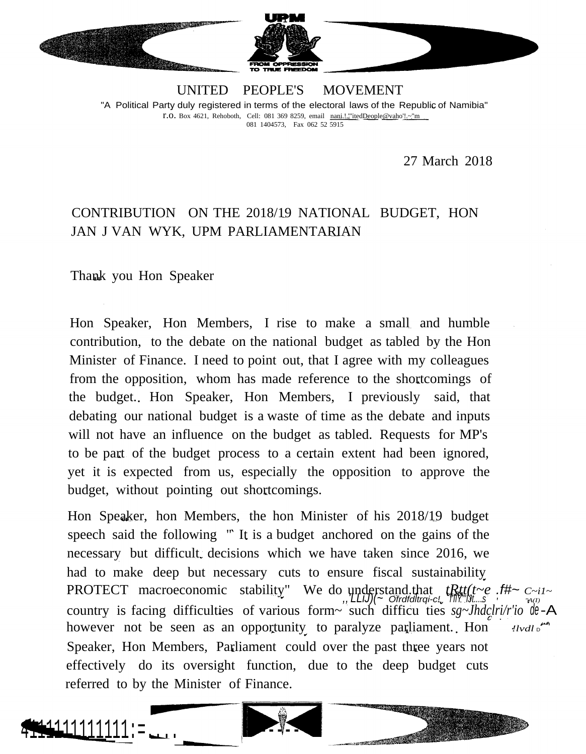

UNITED PEOPLE'S MOVEMENT "A Political Party duly registered in terms of the electoral laws of the Republic of Namibia" r.o. Box 4621, Rehoboth, Cell: <sup>081</sup> <sup>369</sup> 8259, email nani.!.'"itedDeople@vaho'!.~"m 081 1404573, Fax 062 52 5915

27 March 2018

## CONTRIBUTION ON THE 2018/19 NATIONAL BUDGET, HON JAN J VAN WYK, UPM PARLIAMENTARIAN

Thank you Hon Speaker

Hon Speaker, Hon Members, I rise to make a small and humble contribution, to the debate on the national budget as tabled by the Hon Minister of Finance. I need to point out, that I agree with my colleagues from the opposition, whom has made reference to the shortcomings of the budget. Hon Speaker, Hon Members, I previously said, that debating our national budget is a waste of time as the debate and inputs will not have an influence on the budget as tabled. Requests for MP's to be part of the budget process to a certain extent had been ignored, yet it is expected from us, especially the opposition to approve the budget, without pointing out shortcomings.

Hon Speaker, hon Members, the hon Minister of his 2018/19 budget speech said the following " It is a budget anchored on the gains of the necessary but difficult decisions which we have taken since 2016, we had to make deep but necessary cuts to ensure fiscal sustainability PROTECT macroeconomic stability" We do understand.that *tRtt(t~e .f#~ C~i1~ ,,'LLiJ)(~ Ofrdfdltrqi-c! <sup>f</sup>'IlY"'IJt....s "A(I)* country is facing difficulties of various form~ such difficu ties  $sg$ ~Jhdclri/r'io de-A however not be seen as an opportunity to paralyze parliament. Hon *!lvdl* D Speaker, Hon Members, Parliament could over the past three years not effectively do its oversight function, due to the deep budget cuts referred to by the Minister of Finance.



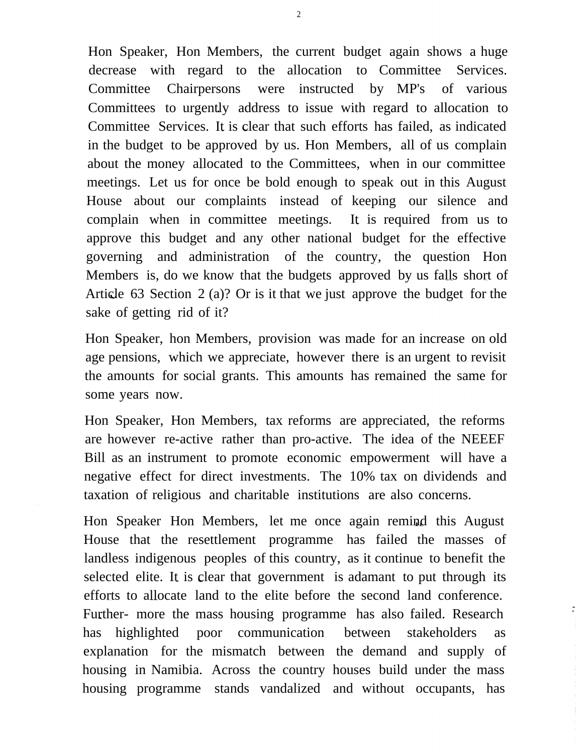Hon Speaker, Hon Members, the current budget again shows a huge decrease with regard to the allocation to Committee Services. Committee Chairpersons were instructed by MP's of various Committees to urgently address to issue with regard to allocation to Committee Services. It is clear that such efforts has failed, as indicated in the budget to be approved by us. Hon Members, all of us complain about the money allocated to the Committees, when in our committee meetings. Let us for once be bold enough to speak out in this August House about our complaints instead of keeping our silence and complain when in committee meetings. It is required from us to approve this budget and any other national budget for the effective governing and administration of the country, the question Hon Members is, do we know that the budgets approved by us falls short of Article 63 Section 2 (a)? Or is it that we just approve the budget for the sake of getting rid of it?

Hon Speaker, hon Members, provision was made for an increase on old age pensions, which we appreciate, however there is an urgent to revisit the amounts for social grants. This amounts has remained the same for some years now.

Hon Speaker, Hon Members, tax reforms are appreciated, the reforms are however re-active rather than pro-active. The idea of the NEEEF Bill as an instrument to promote economic empowerment will have a negative effect for direct investments. The 10% tax on dividends and taxation of religious and charitable institutions are also concerns.

Hon Speaker Hon Members, let me once again remind this August House that the resettlement programme has failed the masses of landless indigenous peoples of this country, as it continue to benefit the selected elite. It is clear that government is adamant to put through its efforts to allocate land to the elite before the second land conference. Further- more the mass housing programme has also failed. Research has highlighted poor communication between stakeholders as explanation for the mismatch between the demand and supply of housing in Namibia. Across the country houses build under the mass housing programme stands vandalized and without occupants, has

 $\tilde{\tau}$ 

2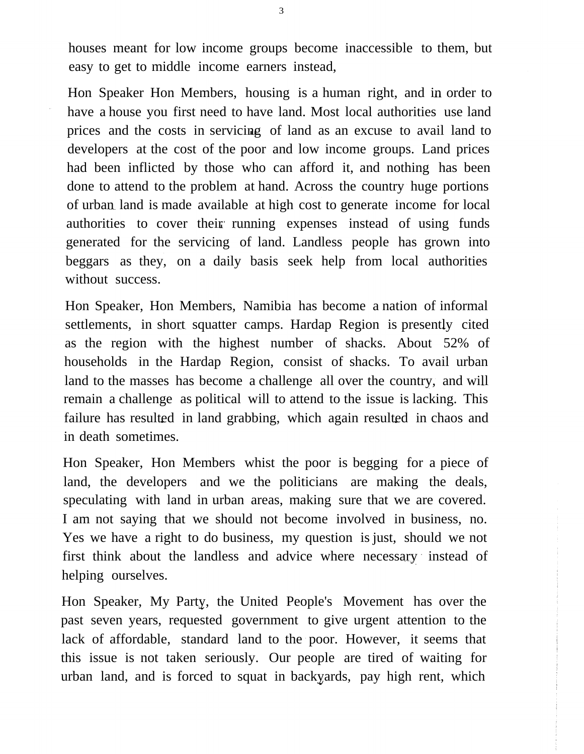houses meant for low income groups become inaccessible to them, but easy to get to middle income earners instead,

Hon Speaker Hon Members, housing is a human right, and in order to have a house you first need to have land. Most local authorities use land prices and the costs in servicing of land as an excuse to avail land to developers at the cost of the poor and low income groups. Land prices had been inflicted by those who can afford it, and nothing has been done to attend to the problem at hand. Across the country huge portions of urban land is made available at high cost to generate income for local authorities to cover their running expenses instead of using funds generated for the servicing of land. Landless people has grown into beggars as they, on a daily basis seek help from local authorities without success.

Hon Speaker, Hon Members, Namibia has become a nation of informal settlements, in short squatter camps. Hardap Region is presently cited as the region with the highest number of shacks. About 52% of households in the Hardap Region, consist of shacks. To avail urban land to the masses has become a challenge all over the country, and will remain a challenge as political will to attend to the issue is lacking. This failure has resulted in land grabbing, which again resulted in chaos and in death sometimes.

Hon Speaker, Hon Members whist the poor is begging for a piece of land, the developers and we the politicians are making the deals, speculating with land in urban areas, making sure that we are covered. I am not saying that we should not become involved in business, no. Yes we have a right to do business, my question is just, should we not first think about the landless and advice where necessary instead of helping ourselves.

Hon Speaker, My Party, the United People's Movement has over the past seven years, requested government to give urgent attention to the lack of affordable, standard land to the poor. However, it seems that this issue is not taken seriously. Our people are tired of waiting for urban land, and is forced to squat in backyards, pay high rent, which